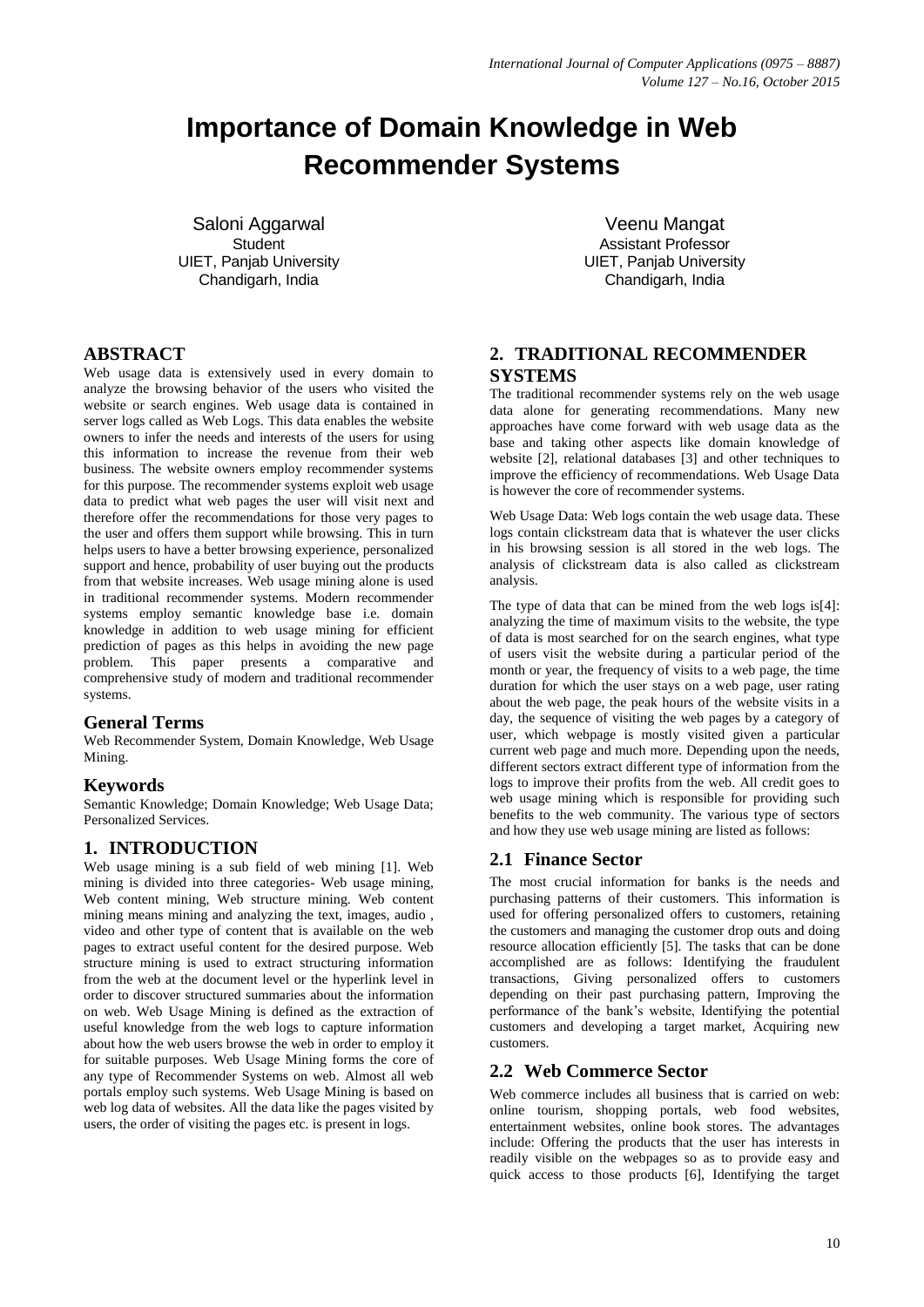# **Importance of Domain Knowledge in Web Recommender Systems**

Saloni Aggarwal **Student** UIET, Panjab University Chandigarh, India

## **ABSTRACT**

Web usage data is extensively used in every domain to analyze the browsing behavior of the users who visited the website or search engines. Web usage data is contained in server logs called as Web Logs. This data enables the website owners to infer the needs and interests of the users for using this information to increase the revenue from their web business. The website owners employ recommender systems for this purpose. The recommender systems exploit web usage data to predict what web pages the user will visit next and therefore offer the recommendations for those very pages to the user and offers them support while browsing. This in turn helps users to have a better browsing experience, personalized support and hence, probability of user buying out the products from that website increases. Web usage mining alone is used in traditional recommender systems. Modern recommender systems employ semantic knowledge base i.e. domain knowledge in addition to web usage mining for efficient prediction of pages as this helps in avoiding the new page problem. This paper presents a comparative and comprehensive study of modern and traditional recommender systems.

## **General Terms**

Web Recommender System, Domain Knowledge, Web Usage Mining.

## **Keywords**

Semantic Knowledge; Domain Knowledge; Web Usage Data; Personalized Services.

# **1. INTRODUCTION**

Web usage mining is a sub field of web mining [1]. Web mining is divided into three categories- Web usage mining, Web content mining, Web structure mining. Web content mining means mining and analyzing the text, images, audio , video and other type of content that is available on the web pages to extract useful content for the desired purpose. Web structure mining is used to extract structuring information from the web at the document level or the hyperlink level in order to discover structured summaries about the information on web. Web Usage Mining is defined as the extraction of useful knowledge from the web logs to capture information about how the web users browse the web in order to employ it for suitable purposes. Web Usage Mining forms the core of any type of Recommender Systems on web. Almost all web portals employ such systems. Web Usage Mining is based on web log data of websites. All the data like the pages visited by users, the order of visiting the pages etc. is present in logs.

Veenu Mangat Assistant Professor UIET, Panjab University Chandigarh, India

## **2. TRADITIONAL RECOMMENDER SYSTEMS**

The traditional recommender systems rely on the web usage data alone for generating recommendations. Many new approaches have come forward with web usage data as the base and taking other aspects like domain knowledge of website [2], relational databases [3] and other techniques to improve the efficiency of recommendations. Web Usage Data is however the core of recommender systems.

Web Usage Data: Web logs contain the web usage data. These logs contain clickstream data that is whatever the user clicks in his browsing session is all stored in the web logs. The analysis of clickstream data is also called as clickstream analysis.

The type of data that can be mined from the web logs is<sup>[4]</sup>: analyzing the time of maximum visits to the website, the type of data is most searched for on the search engines, what type of users visit the website during a particular period of the month or year, the frequency of visits to a web page, the time duration for which the user stays on a web page, user rating about the web page, the peak hours of the website visits in a day, the sequence of visiting the web pages by a category of user, which webpage is mostly visited given a particular current web page and much more. Depending upon the needs, different sectors extract different type of information from the logs to improve their profits from the web. All credit goes to web usage mining which is responsible for providing such benefits to the web community. The various type of sectors and how they use web usage mining are listed as follows:

# **2.1 Finance Sector**

The most crucial information for banks is the needs and purchasing patterns of their customers. This information is used for offering personalized offers to customers, retaining the customers and managing the customer drop outs and doing resource allocation efficiently [5]. The tasks that can be done accomplished are as follows: Identifying the fraudulent transactions, Giving personalized offers to customers depending on their past purchasing pattern, Improving the performance of the bank's website, Identifying the potential customers and developing a target market, Acquiring new customers.

## **2.2 Web Commerce Sector**

Web commerce includes all business that is carried on web: online tourism, shopping portals, web food websites, entertainment websites, online book stores. The advantages include: Offering the products that the user has interests in readily visible on the webpages so as to provide easy and quick access to those products [6], Identifying the target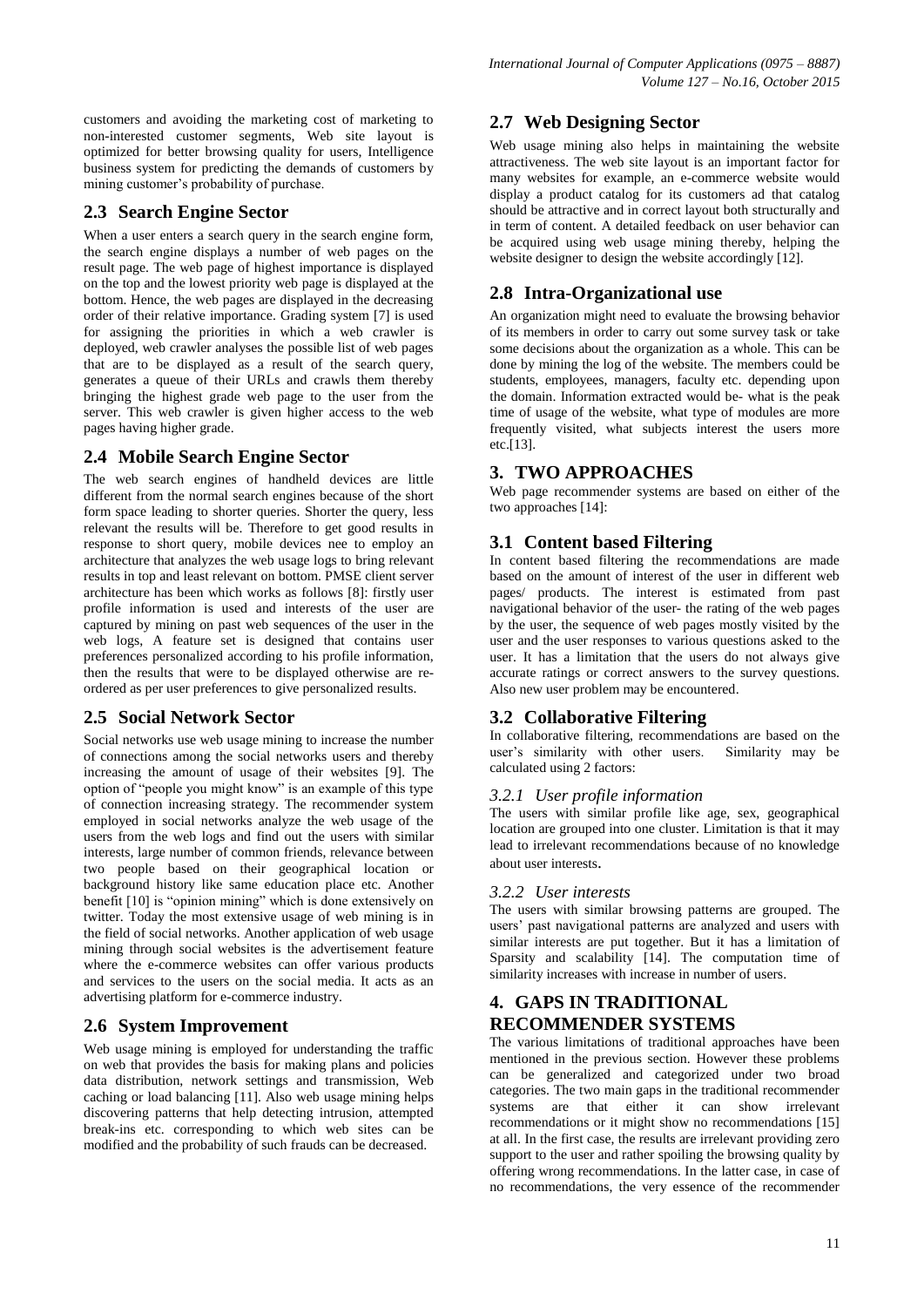customers and avoiding the marketing cost of marketing to non-interested customer segments, Web site layout is optimized for better browsing quality for users, Intelligence business system for predicting the demands of customers by mining customer's probability of purchase.

## **2.3 Search Engine Sector**

When a user enters a search query in the search engine form, the search engine displays a number of web pages on the result page. The web page of highest importance is displayed on the top and the lowest priority web page is displayed at the bottom. Hence, the web pages are displayed in the decreasing order of their relative importance. Grading system [7] is used for assigning the priorities in which a web crawler is deployed, web crawler analyses the possible list of web pages that are to be displayed as a result of the search query, generates a queue of their URLs and crawls them thereby bringing the highest grade web page to the user from the server. This web crawler is given higher access to the web pages having higher grade.

## **2.4 Mobile Search Engine Sector**

The web search engines of handheld devices are little different from the normal search engines because of the short form space leading to shorter queries. Shorter the query, less relevant the results will be. Therefore to get good results in response to short query, mobile devices nee to employ an architecture that analyzes the web usage logs to bring relevant results in top and least relevant on bottom. PMSE client server architecture has been which works as follows [8]: firstly user profile information is used and interests of the user are captured by mining on past web sequences of the user in the web logs, A feature set is designed that contains user preferences personalized according to his profile information, then the results that were to be displayed otherwise are reordered as per user preferences to give personalized results.

# **2.5 Social Network Sector**

Social networks use web usage mining to increase the number of connections among the social networks users and thereby increasing the amount of usage of their websites [9]. The option of "people you might know" is an example of this type of connection increasing strategy. The recommender system employed in social networks analyze the web usage of the users from the web logs and find out the users with similar interests, large number of common friends, relevance between two people based on their geographical location or background history like same education place etc. Another benefit [10] is "opinion mining" which is done extensively on twitter. Today the most extensive usage of web mining is in the field of social networks. Another application of web usage mining through social websites is the advertisement feature where the e-commerce websites can offer various products and services to the users on the social media. It acts as an advertising platform for e-commerce industry.

# **2.6 System Improvement**

Web usage mining is employed for understanding the traffic on web that provides the basis for making plans and policies data distribution, network settings and transmission, Web caching or load balancing [11]. Also web usage mining helps discovering patterns that help detecting intrusion, attempted break-ins etc. corresponding to which web sites can be modified and the probability of such frauds can be decreased.

## **2.7 Web Designing Sector**

Web usage mining also helps in maintaining the website attractiveness. The web site layout is an important factor for many websites for example, an e-commerce website would display a product catalog for its customers ad that catalog should be attractive and in correct layout both structurally and in term of content. A detailed feedback on user behavior can be acquired using web usage mining thereby, helping the website designer to design the website accordingly [12].

# **2.8 Intra-Organizational use**

An organization might need to evaluate the browsing behavior of its members in order to carry out some survey task or take some decisions about the organization as a whole. This can be done by mining the log of the website. The members could be students, employees, managers, faculty etc. depending upon the domain. Information extracted would be- what is the peak time of usage of the website, what type of modules are more frequently visited, what subjects interest the users more etc.[13].

# **3. TWO APPROACHES**

Web page recommender systems are based on either of the two approaches [14]:

## **3.1 Content based Filtering**

In content based filtering the recommendations are made based on the amount of interest of the user in different web pages/ products. The interest is estimated from past navigational behavior of the user- the rating of the web pages by the user, the sequence of web pages mostly visited by the user and the user responses to various questions asked to the user. It has a limitation that the users do not always give accurate ratings or correct answers to the survey questions. Also new user problem may be encountered.

# **3.2 Collaborative Filtering**

In collaborative filtering, recommendations are based on the user's similarity with other users. Similarity may be calculated using 2 factors:

## *3.2.1 User profile information*

The users with similar profile like age, sex, geographical location are grouped into one cluster. Limitation is that it may lead to irrelevant recommendations because of no knowledge about user interests.

## *3.2.2 User interests*

The users with similar browsing patterns are grouped. The users' past navigational patterns are analyzed and users with similar interests are put together. But it has a limitation of Sparsity and scalability [14]. The computation time of similarity increases with increase in number of users.

# **4. GAPS IN TRADITIONAL RECOMMENDER SYSTEMS**

The various limitations of traditional approaches have been mentioned in the previous section. However these problems can be generalized and categorized under two broad categories. The two main gaps in the traditional recommender systems are that either it can show irrelevant recommendations or it might show no recommendations [15] at all. In the first case, the results are irrelevant providing zero support to the user and rather spoiling the browsing quality by offering wrong recommendations. In the latter case, in case of no recommendations, the very essence of the recommender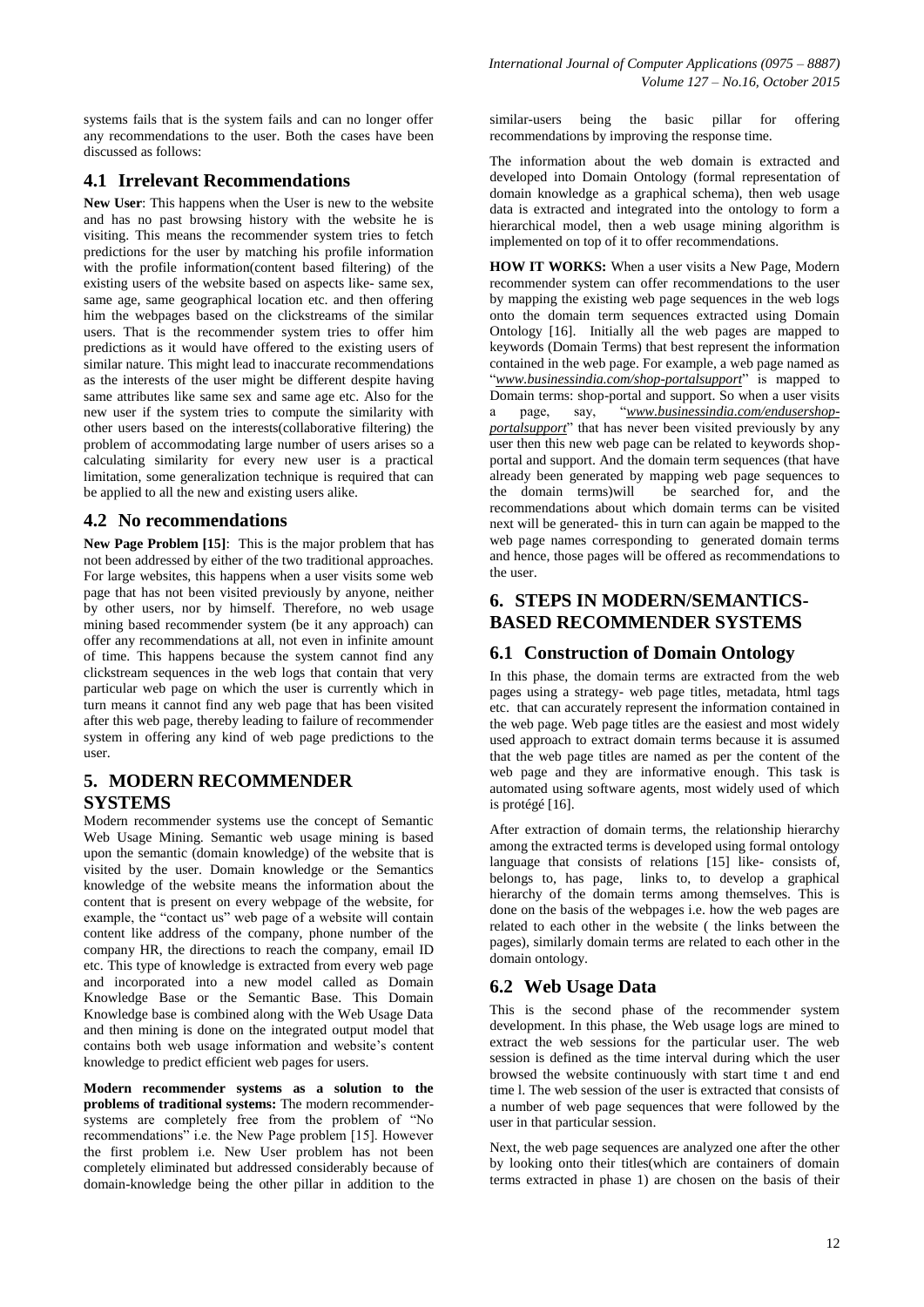systems fails that is the system fails and can no longer offer any recommendations to the user. Both the cases have been discussed as follows:

## **4.1 Irrelevant Recommendations**

**New User**: This happens when the User is new to the website and has no past browsing history with the website he is visiting. This means the recommender system tries to fetch predictions for the user by matching his profile information with the profile information(content based filtering) of the existing users of the website based on aspects like- same sex, same age, same geographical location etc. and then offering him the webpages based on the clickstreams of the similar users. That is the recommender system tries to offer him predictions as it would have offered to the existing users of similar nature. This might lead to inaccurate recommendations as the interests of the user might be different despite having same attributes like same sex and same age etc. Also for the new user if the system tries to compute the similarity with other users based on the interests(collaborative filtering) the problem of accommodating large number of users arises so a calculating similarity for every new user is a practical limitation, some generalization technique is required that can be applied to all the new and existing users alike.

## **4.2 No recommendations**

**New Page Problem [15]**: This is the major problem that has not been addressed by either of the two traditional approaches. For large websites, this happens when a user visits some web page that has not been visited previously by anyone, neither by other users, nor by himself. Therefore, no web usage mining based recommender system (be it any approach) can offer any recommendations at all, not even in infinite amount of time. This happens because the system cannot find any clickstream sequences in the web logs that contain that very particular web page on which the user is currently which in turn means it cannot find any web page that has been visited after this web page, thereby leading to failure of recommender system in offering any kind of web page predictions to the user.

## **5. MODERN RECOMMENDER SYSTEMS**

Modern recommender systems use the concept of Semantic Web Usage Mining. Semantic web usage mining is based upon the semantic (domain knowledge) of the website that is visited by the user. Domain knowledge or the Semantics knowledge of the website means the information about the content that is present on every webpage of the website, for example, the "contact us" web page of a website will contain content like address of the company, phone number of the company HR, the directions to reach the company, email ID etc. This type of knowledge is extracted from every web page and incorporated into a new model called as Domain Knowledge Base or the Semantic Base. This Domain Knowledge base is combined along with the Web Usage Data and then mining is done on the integrated output model that contains both web usage information and website's content knowledge to predict efficient web pages for users.

**Modern recommender systems as a solution to the problems of traditional systems:** The modern recommendersystems are completely free from the problem of "No recommendations" i.e. the New Page problem [15]. However the first problem i.e. New User problem has not been completely eliminated but addressed considerably because of domain-knowledge being the other pillar in addition to the similar-users being the basic pillar for offering recommendations by improving the response time.

The information about the web domain is extracted and developed into Domain Ontology (formal representation of domain knowledge as a graphical schema), then web usage data is extracted and integrated into the ontology to form a hierarchical model, then a web usage mining algorithm is implemented on top of it to offer recommendations.

**HOW IT WORKS:** When a user visits a New Page, Modern recommender system can offer recommendations to the user by mapping the existing web page sequences in the web logs onto the domain term sequences extracted using Domain Ontology [16]. Initially all the web pages are mapped to keywords (Domain Terms) that best represent the information contained in the web page. For example, a web page named as "*www.businessindia.com/shop-portalsupport*" is mapped to Domain terms: shop-portal and support. So when a user visits a page, say, "*www.businessindia.com/endusershopportalsupport*" that has never been visited previously by any user then this new web page can be related to keywords shopportal and support. And the domain term sequences (that have already been generated by mapping web page sequences to the domain terms)will be searched for, and the recommendations about which domain terms can be visited next will be generated- this in turn can again be mapped to the web page names corresponding to generated domain terms and hence, those pages will be offered as recommendations to the user.

# **6. STEPS IN MODERN/SEMANTICS-BASED RECOMMENDER SYSTEMS**

## **6.1 Construction of Domain Ontology**

In this phase, the domain terms are extracted from the web pages using a strategy- web page titles, metadata, html tags etc. that can accurately represent the information contained in the web page. Web page titles are the easiest and most widely used approach to extract domain terms because it is assumed that the web page titles are named as per the content of the web page and they are informative enough. This task is automated using software agents, most widely used of which is protégé [16].

After extraction of domain terms, the relationship hierarchy among the extracted terms is developed using formal ontology language that consists of relations [15] like- consists of, belongs to, has page, links to, to develop a graphical hierarchy of the domain terms among themselves. This is done on the basis of the webpages i.e. how the web pages are related to each other in the website ( the links between the pages), similarly domain terms are related to each other in the domain ontology.

# **6.2 Web Usage Data**

This is the second phase of the recommender system development. In this phase, the Web usage logs are mined to extract the web sessions for the particular user. The web session is defined as the time interval during which the user browsed the website continuously with start time t and end time l. The web session of the user is extracted that consists of a number of web page sequences that were followed by the user in that particular session.

Next, the web page sequences are analyzed one after the other by looking onto their titles(which are containers of domain terms extracted in phase 1) are chosen on the basis of their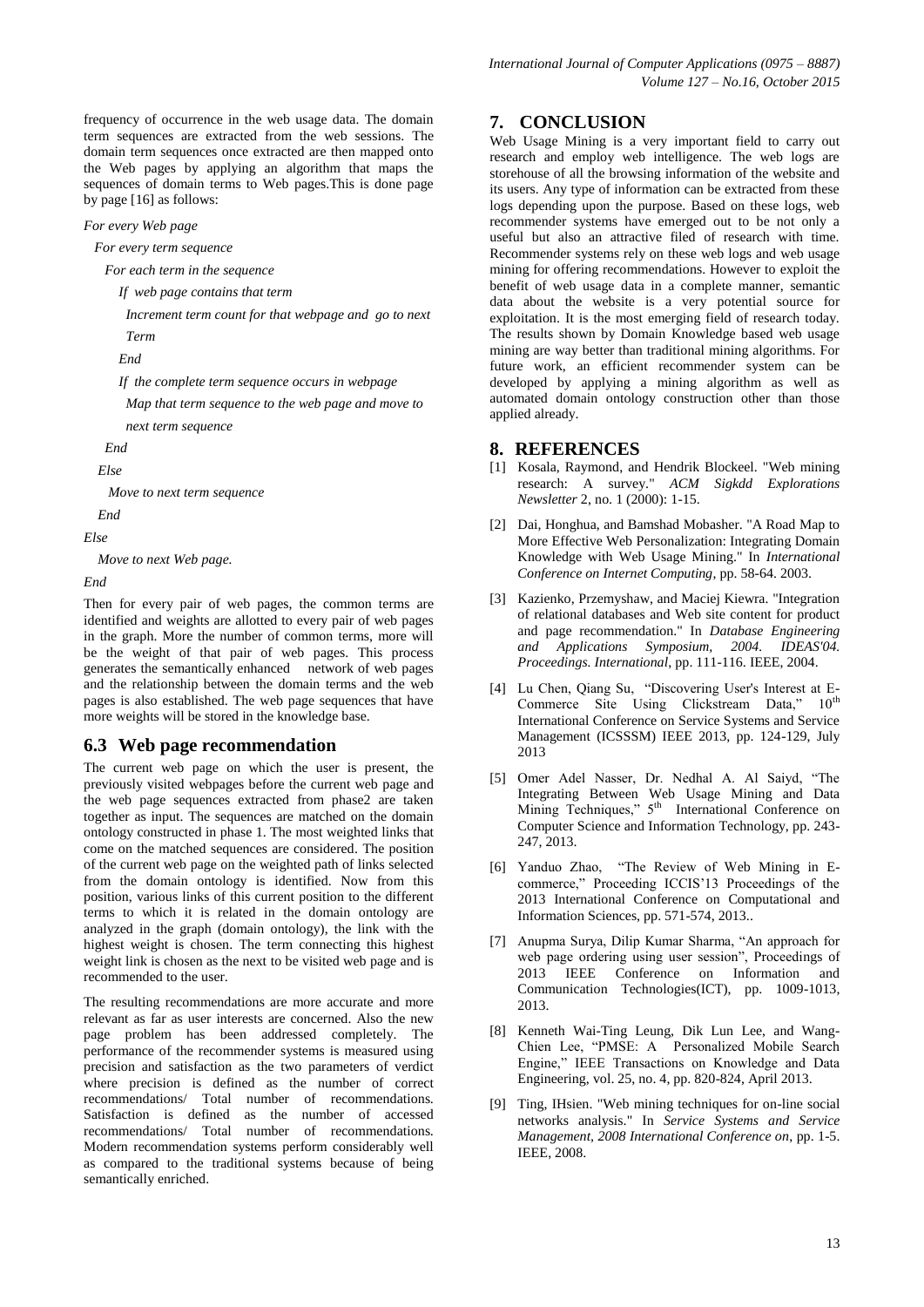frequency of occurrence in the web usage data. The domain term sequences are extracted from the web sessions. The domain term sequences once extracted are then mapped onto the Web pages by applying an algorithm that maps the sequences of domain terms to Web pages.This is done page by page [16] as follows:

*For every Web page*

 *For every term sequence*

 *For each term in the sequence*

 *If web page contains that term*

 *Increment term count for that webpage and go to next Term*

 *End*

 *If the complete term sequence occurs in webpage* 

 *Map that term sequence to the web page and move to next term sequence*

 *End*

 *Else* 

 *Move to next term sequence*

 *End*

*Else* 

 *Move to next Web page.*

*End*

Then for every pair of web pages, the common terms are identified and weights are allotted to every pair of web pages in the graph. More the number of common terms, more will be the weight of that pair of web pages. This process generates the semantically enhanced network of web pages and the relationship between the domain terms and the web pages is also established. The web page sequences that have more weights will be stored in the knowledge base.

## **6.3 Web page recommendation**

The current web page on which the user is present, the previously visited webpages before the current web page and the web page sequences extracted from phase2 are taken together as input. The sequences are matched on the domain ontology constructed in phase 1. The most weighted links that come on the matched sequences are considered. The position of the current web page on the weighted path of links selected from the domain ontology is identified. Now from this position, various links of this current position to the different terms to which it is related in the domain ontology are analyzed in the graph (domain ontology), the link with the highest weight is chosen. The term connecting this highest weight link is chosen as the next to be visited web page and is recommended to the user.

The resulting recommendations are more accurate and more relevant as far as user interests are concerned. Also the new page problem has been addressed completely. The performance of the recommender systems is measured using precision and satisfaction as the two parameters of verdict where precision is defined as the number of correct recommendations/ Total number of recommendations. Satisfaction is defined as the number of accessed recommendations/ Total number of recommendations. Modern recommendation systems perform considerably well as compared to the traditional systems because of being semantically enriched.

# **7. CONCLUSION**

Web Usage Mining is a very important field to carry out research and employ web intelligence. The web logs are storehouse of all the browsing information of the website and its users. Any type of information can be extracted from these logs depending upon the purpose. Based on these logs, web recommender systems have emerged out to be not only a useful but also an attractive filed of research with time. Recommender systems rely on these web logs and web usage mining for offering recommendations. However to exploit the benefit of web usage data in a complete manner, semantic data about the website is a very potential source for exploitation. It is the most emerging field of research today. The results shown by Domain Knowledge based web usage mining are way better than traditional mining algorithms. For future work, an efficient recommender system can be developed by applying a mining algorithm as well as automated domain ontology construction other than those applied already.

#### **8. REFERENCES**

- [1] Kosala, Raymond, and Hendrik Blockeel. "Web mining research: A survey." *ACM Sigkdd Explorations Newsletter* 2, no. 1 (2000): 1-15.
- [2] Dai, Honghua, and Bamshad Mobasher. "A Road Map to More Effective Web Personalization: Integrating Domain Knowledge with Web Usage Mining." In *International Conference on Internet Computing*, pp. 58-64. 2003.
- [3] Kazienko, Przemyshaw, and Maciej Kiewra. "Integration of relational databases and Web site content for product and page recommendation." In *Database Engineering and Applications Symposium, 2004. IDEAS'04. Proceedings. International*, pp. 111-116. IEEE, 2004.
- [4] Lu Chen, Qiang Su, "Discovering User's Interest at E-Commerce Site Using Clickstream Data,"  $10^{th}$ International Conference on Service Systems and Service Management (ICSSSM) IEEE 2013, pp. 124-129, July 2013
- [5] Omer Adel Nasser, Dr. Nedhal A. Al Saiyd, "The Integrating Between Web Usage Mining and Data Mining Techniques,"  $5<sup>th</sup>$  International Conference on Computer Science and Information Technology, pp. 243- 247, 2013.
- [6] Yanduo Zhao, "The Review of Web Mining in Ecommerce," Proceeding ICCIS'13 Proceedings of the 2013 International Conference on Computational and Information Sciences, pp. 571-574, 2013..
- [7] Anupma Surya, Dilip Kumar Sharma, "An approach for web page ordering using user session", Proceedings of 2013 IEEE Conference on Information and Communication Technologies(ICT), pp. 1009-1013, 2013.
- [8] Kenneth Wai-Ting Leung, Dik Lun Lee, and Wang-Chien Lee, "PMSE: A Personalized Mobile Search Engine," IEEE Transactions on Knowledge and Data Engineering, vol. 25, no. 4, pp. 820-824, April 2013.
- [9] Ting, IHsien. "Web mining techniques for on-line social networks analysis." In *Service Systems and Service Management, 2008 International Conference on*, pp. 1-5. IEEE, 2008.